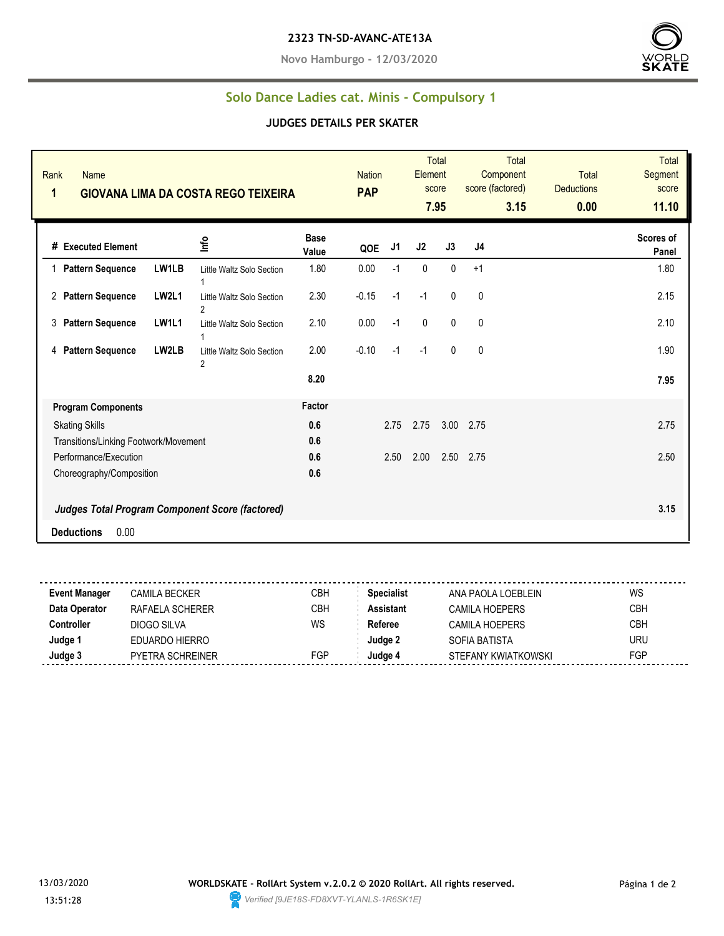#### **2323 TN-SD-AVANC-ATE13A**

**Novo Hamburgo - 12/03/2020**



### **Solo Dance Ladies cat. Minis - Compulsory 1**

#### **JUDGES DETAILS PER SKATER**

| Rank<br><b>Name</b><br>1<br><b>GIOVANA LIMA DA COSTA REGO TEIXEIRA</b>             |                           |                      | <b>Nation</b><br><b>PAP</b> |      | Element<br>score | <b>Total</b><br>7.95 | <b>Total</b><br>Component<br>score (factored)<br>3.15 | <b>Total</b><br><b>Deductions</b><br>0.00 | <b>Total</b><br>Segment<br>score<br>11.10 |
|------------------------------------------------------------------------------------|---------------------------|----------------------|-----------------------------|------|------------------|----------------------|-------------------------------------------------------|-------------------------------------------|-------------------------------------------|
| Info<br># Executed Element                                                         |                           | <b>Base</b><br>Value | QOE                         | J1   | J2               | J3                   | J4                                                    |                                           | Scores of<br>Panel                        |
| LW1LB<br>1 Pattern Sequence                                                        | Little Waltz Solo Section | 1.80                 | 0.00                        | $-1$ | $\mathbf{0}$     | $\mathbf{0}$         | $+1$                                                  |                                           | 1.80                                      |
| <b>LW2L1</b><br>2 Pattern Sequence<br>$\overline{2}$                               | Little Waltz Solo Section | 2.30                 | $-0.15$                     | $-1$ | $-1$             | $\mathbf{0}$         | $\mathbf 0$                                           |                                           | 2.15                                      |
| 3<br><b>Pattern Sequence</b><br><b>LW1L1</b>                                       | Little Waltz Solo Section | 2.10                 | 0.00                        | $-1$ | 0                | $\mathbf{0}$         | 0                                                     |                                           | 2.10                                      |
| <b>Pattern Sequence</b><br>LW2LB<br>4<br>2                                         | Little Waltz Solo Section | 2.00                 | $-0.10$                     | $-1$ | $-1$             | $\mathbf{0}$         | $\mathbf 0$                                           |                                           | 1.90                                      |
|                                                                                    |                           | 8.20                 |                             |      |                  |                      |                                                       |                                           | 7.95                                      |
| <b>Program Components</b>                                                          |                           | Factor               |                             |      |                  |                      |                                                       |                                           |                                           |
| <b>Skating Skills</b>                                                              |                           | 0.6                  |                             | 2.75 | 2.75             | 3.00                 | 2.75                                                  |                                           | 2.75                                      |
| Transitions/Linking Footwork/Movement                                              |                           | 0.6                  |                             |      |                  |                      |                                                       |                                           |                                           |
| Performance/Execution                                                              |                           | 0.6                  |                             | 2.50 | 2.00             | 2.50                 | 2.75                                                  |                                           | 2.50                                      |
| Choreography/Composition<br><b>Judges Total Program Component Score (factored)</b> |                           | 0.6                  |                             |      |                  |                      |                                                       |                                           | 3.15                                      |
| 0.00<br><b>Deductions</b>                                                          |                           |                      |                             |      |                  |                      |                                                       |                                           |                                           |

| <b>Event Manager</b> | CAMILA BECKER           | СВН | <b>Specialist</b> | ANA PAOLA LOEBI FIN | WS  |
|----------------------|-------------------------|-----|-------------------|---------------------|-----|
| Data Operator        | RAFAELA SCHERER         | СВН | <b>Assistant</b>  | CAMILA HOEPERS      | CBH |
| Controller           | DIOGO SILVA             | WS  | Referee           | CAMILA HOEPERS      | СВН |
| Judge 1              | EDUARDO HIERRO          |     | Judge 2           | SOFIA BATISTA       | URU |
| Judge 3              | <b>PYETRA SCHREINER</b> | FGP | Judge 4           | STEFANY KWIATKOWSKI | FGP |
|                      |                         |     |                   |                     |     |